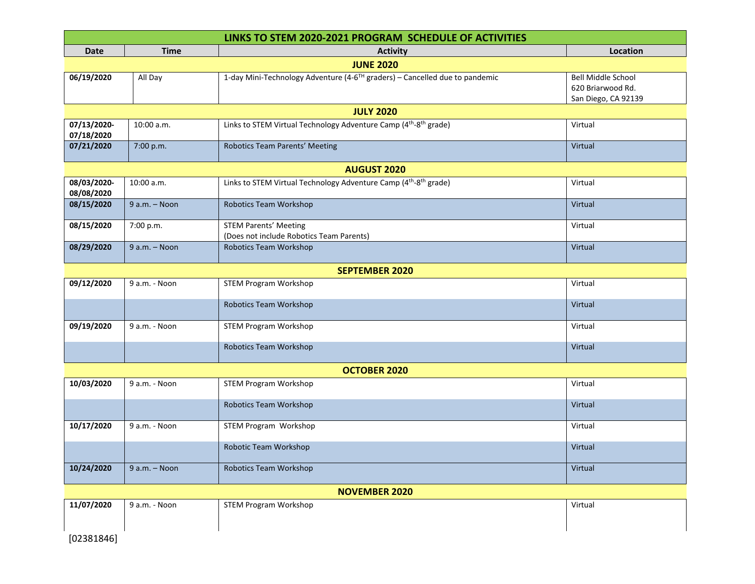| LINKS TO STEM 2020-2021 PROGRAM SCHEDULE OF ACTIVITIES |                 |                                                                                          |                                          |  |  |
|--------------------------------------------------------|-----------------|------------------------------------------------------------------------------------------|------------------------------------------|--|--|
| <b>Date</b>                                            | <b>Time</b>     | <b>Activity</b>                                                                          | Location                                 |  |  |
| <b>JUNE 2020</b>                                       |                 |                                                                                          |                                          |  |  |
| 06/19/2020                                             | All Day         | 1-day Mini-Technology Adventure (4-6 <sup>TH</sup> graders) - Cancelled due to pandemic  | <b>Bell Middle School</b>                |  |  |
|                                                        |                 |                                                                                          | 620 Briarwood Rd.<br>San Diego, CA 92139 |  |  |
| <b>JULY 2020</b>                                       |                 |                                                                                          |                                          |  |  |
| 07/13/2020-<br>07/18/2020                              | 10:00 a.m.      | Links to STEM Virtual Technology Adventure Camp (4 <sup>th</sup> -8 <sup>th</sup> grade) | Virtual                                  |  |  |
| 07/21/2020                                             | 7:00 p.m.       | Robotics Team Parents' Meeting                                                           | Virtual                                  |  |  |
| <b>AUGUST 2020</b>                                     |                 |                                                                                          |                                          |  |  |
| 08/03/2020-<br>08/08/2020                              | 10:00 a.m.      | Links to STEM Virtual Technology Adventure Camp (4 <sup>th</sup> -8 <sup>th</sup> grade) | Virtual                                  |  |  |
| 08/15/2020                                             | $9 a.m. - Noon$ | Robotics Team Workshop                                                                   | Virtual                                  |  |  |
| 08/15/2020                                             | 7:00 p.m.       | <b>STEM Parents' Meeting</b><br>(Does not include Robotics Team Parents)                 | Virtual                                  |  |  |
| 08/29/2020                                             | $9 a.m. - Noon$ | Robotics Team Workshop                                                                   | Virtual                                  |  |  |
| <b>SEPTEMBER 2020</b>                                  |                 |                                                                                          |                                          |  |  |
| 09/12/2020                                             | 9 a.m. - Noon   | <b>STEM Program Workshop</b>                                                             | Virtual                                  |  |  |
|                                                        |                 | Robotics Team Workshop                                                                   | Virtual                                  |  |  |
| 09/19/2020                                             | 9 a.m. - Noon   | <b>STEM Program Workshop</b>                                                             | Virtual                                  |  |  |
|                                                        |                 | Robotics Team Workshop                                                                   | Virtual                                  |  |  |
| <b>OCTOBER 2020</b>                                    |                 |                                                                                          |                                          |  |  |
| 10/03/2020                                             | 9 a.m. - Noon   | <b>STEM Program Workshop</b>                                                             | Virtual                                  |  |  |
|                                                        |                 | Robotics Team Workshop                                                                   | Virtual                                  |  |  |
| 10/17/2020                                             | 9 a.m. - Noon   | STEM Program Workshop                                                                    | Virtual                                  |  |  |
|                                                        |                 | Robotic Team Workshop                                                                    | Virtual                                  |  |  |
| 10/24/2020                                             | $9 a.m. - Noon$ | <b>Robotics Team Workshop</b>                                                            | Virtual                                  |  |  |
| <b>NOVEMBER 2020</b>                                   |                 |                                                                                          |                                          |  |  |
| 11/07/2020                                             | 9 a.m. - Noon   | <b>STEM Program Workshop</b>                                                             | Virtual                                  |  |  |
| [02381846]                                             |                 |                                                                                          |                                          |  |  |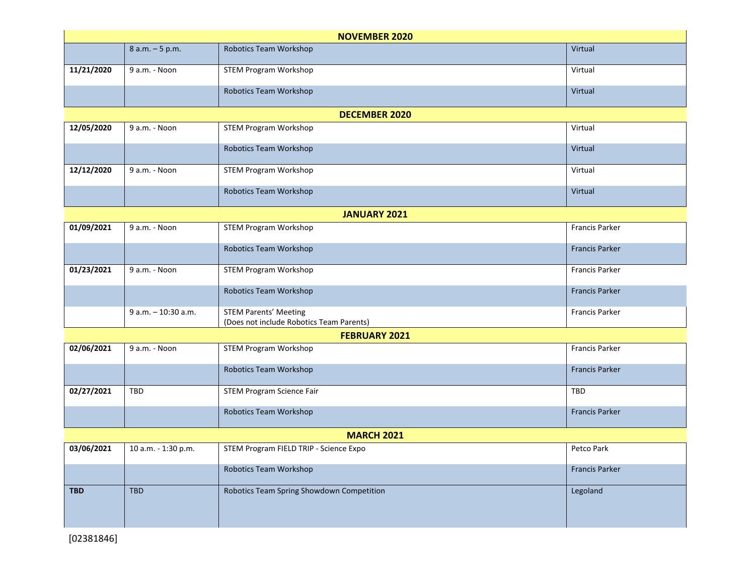| <b>NOVEMBER 2020</b> |                     |                                                                          |                       |  |  |
|----------------------|---------------------|--------------------------------------------------------------------------|-----------------------|--|--|
|                      | 8 a.m. - 5 p.m.     | <b>Robotics Team Workshop</b>                                            | Virtual               |  |  |
| 11/21/2020           | 9 a.m. - Noon       | <b>STEM Program Workshop</b>                                             | Virtual               |  |  |
|                      |                     | Robotics Team Workshop                                                   | Virtual               |  |  |
|                      |                     | <b>DECEMBER 2020</b>                                                     |                       |  |  |
| 12/05/2020           | 9 a.m. - Noon       | <b>STEM Program Workshop</b>                                             | Virtual               |  |  |
|                      |                     | Robotics Team Workshop                                                   | Virtual               |  |  |
| 12/12/2020           | 9 a.m. - Noon       | <b>STEM Program Workshop</b>                                             | Virtual               |  |  |
|                      |                     | Robotics Team Workshop                                                   | Virtual               |  |  |
| <b>JANUARY 2021</b>  |                     |                                                                          |                       |  |  |
| 01/09/2021           | 9 a.m. - Noon       | <b>STEM Program Workshop</b>                                             | <b>Francis Parker</b> |  |  |
|                      |                     | Robotics Team Workshop                                                   | <b>Francis Parker</b> |  |  |
| 01/23/2021           | 9 a.m. - Noon       | <b>STEM Program Workshop</b>                                             | <b>Francis Parker</b> |  |  |
|                      |                     | Robotics Team Workshop                                                   | <b>Francis Parker</b> |  |  |
|                      | 9 a.m. - 10:30 a.m. | <b>STEM Parents' Meeting</b><br>(Does not include Robotics Team Parents) | <b>Francis Parker</b> |  |  |
| <b>FEBRUARY 2021</b> |                     |                                                                          |                       |  |  |
| 02/06/2021           | 9 a.m. - Noon       | <b>STEM Program Workshop</b>                                             | Francis Parker        |  |  |
|                      |                     | Robotics Team Workshop                                                   | <b>Francis Parker</b> |  |  |
| 02/27/2021           | TBD                 | <b>STEM Program Science Fair</b>                                         | <b>TBD</b>            |  |  |
|                      |                     | Robotics Team Workshop                                                   | <b>Francis Parker</b> |  |  |
| <b>MARCH 2021</b>    |                     |                                                                          |                       |  |  |
| 03/06/2021           | 10 a.m. - 1:30 p.m. | STEM Program FIELD TRIP - Science Expo                                   | Petco Park            |  |  |
|                      |                     | Robotics Team Workshop                                                   | <b>Francis Parker</b> |  |  |
| <b>TBD</b>           | <b>TBD</b>          | Robotics Team Spring Showdown Competition                                | Legoland              |  |  |